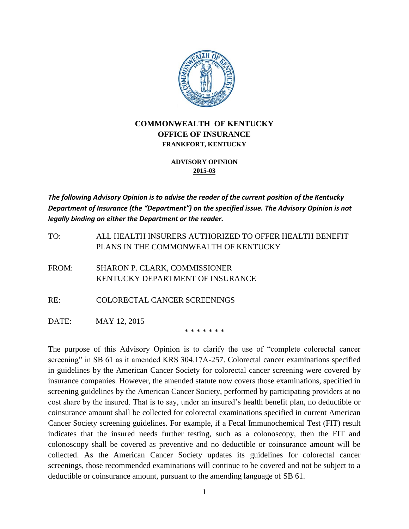

## **COMMONWEALTH OF KENTUCKY OFFICE OF INSURANCE FRANKFORT, KENTUCKY**

## **ADVISORY OPINION 2015-03**

*The following Advisory Opinion is to advise the reader of the current position of the Kentucky Department of Insurance (the "Department") on the specified issue. The Advisory Opinion is not legally binding on either the Department or the reader.*

TO: ALL HEALTH INSURERS AUTHORIZED TO OFFER HEALTH BENEFIT PLANS IN THE COMMONWEALTH OF KENTUCKY

FROM: SHARON P. CLARK, COMMISSIONER KENTUCKY DEPARTMENT OF INSURANCE

RE: COLORECTAL CANCER SCREENINGS

DATE: MAY 12, 2015

\* \* \* \* \* \* \*

The purpose of this Advisory Opinion is to clarify the use of "complete colorectal cancer screening" in SB 61 as it amended KRS 304.17A-257. Colorectal cancer examinations specified in guidelines by the American Cancer Society for colorectal cancer screening were covered by insurance companies. However, the amended statute now covers those examinations, specified in screening guidelines by the American Cancer Society, performed by participating providers at no cost share by the insured. That is to say, under an insured's health benefit plan, no deductible or coinsurance amount shall be collected for colorectal examinations specified in current American Cancer Society screening guidelines. For example, if a Fecal Immunochemical Test (FIT) result indicates that the insured needs further testing, such as a colonoscopy, then the FIT and colonoscopy shall be covered as preventive and no deductible or coinsurance amount will be collected. As the American Cancer Society updates its guidelines for colorectal cancer screenings, those recommended examinations will continue to be covered and not be subject to a deductible or coinsurance amount, pursuant to the amending language of SB 61.